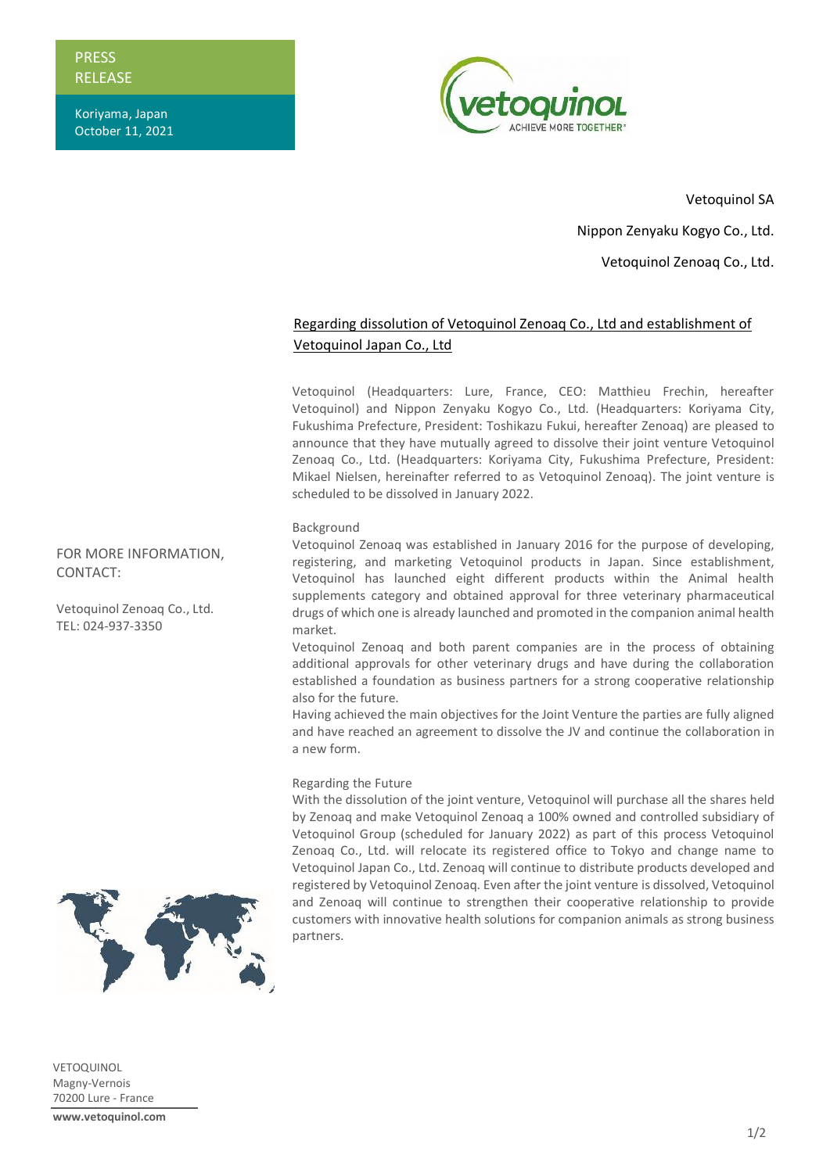**PRESS** RELEASE

Koriyama, Japan October 11, 2021



Vetoquinol SA Nippon Zenyaku Kogyo Co., Ltd. Vetoquinol Zenoaq Co., Ltd.

## Regarding dissolution of Vetoquinol Zenoaq Co., Ltd and establishment of Vetoquinol Japan Co., Ltd

Vetoquinol (Headquarters: Lure, France, CEO: Matthieu Frechin, hereafter Vetoquinol) and Nippon Zenyaku Kogyo Co., Ltd. (Headquarters: Koriyama City, Fukushima Prefecture, President: Toshikazu Fukui, hereafter Zenoaq) are pleased to announce that they have mutually agreed to dissolve their joint venture Vetoquinol Zenoaq Co., Ltd. (Headquarters: Koriyama City, Fukushima Prefecture, President: Mikael Nielsen, hereinafter referred to as Vetoquinol Zenoaq). The joint venture is scheduled to be dissolved in January 2022.

## Background

Vetoquinol Zenoaq was established in January 2016 for the purpose of developing, registering, and marketing Vetoquinol products in Japan. Since establishment, Vetoquinol has launched eight different products within the Animal health supplements category and obtained approval for three veterinary pharmaceutical drugs of which one is already launched and promoted in the companion animal health market.

Vetoquinol Zenoaq and both parent companies are in the process of obtaining additional approvals for other veterinary drugs and have during the collaboration established a foundation as business partners for a strong cooperative relationship also for the future.

Having achieved the main objectives for the Joint Venture the parties are fully aligned and have reached an agreement to dissolve the JV and continue the collaboration in a new form.

## Regarding the Future

With the dissolution of the joint venture, Vetoquinol will purchase all the shares held by Zenoaq and make Vetoquinol Zenoaq a 100% owned and controlled subsidiary of Vetoquinol Group (scheduled for January 2022) as part of this process Vetoquinol Zenoaq Co., Ltd. will relocate its registered office to Tokyo and change name to Vetoquinol Japan Co., Ltd. Zenoaq will continue to distribute products developed and registered by Vetoquinol Zenoaq. Even after the joint venture is dissolved, Vetoquinol and Zenoaq will continue to strengthen their cooperative relationship to provide customers with innovative health solutions for companion animals as strong business partners.

FOR MORE INFORMATION, CONTACT:

Vetoquinol Zenoaq Co., Ltd. TEL: 024-937-3350



VETOQUINOL Magny-Vernois 70200 Lure - France **www.vetoquinol.com**